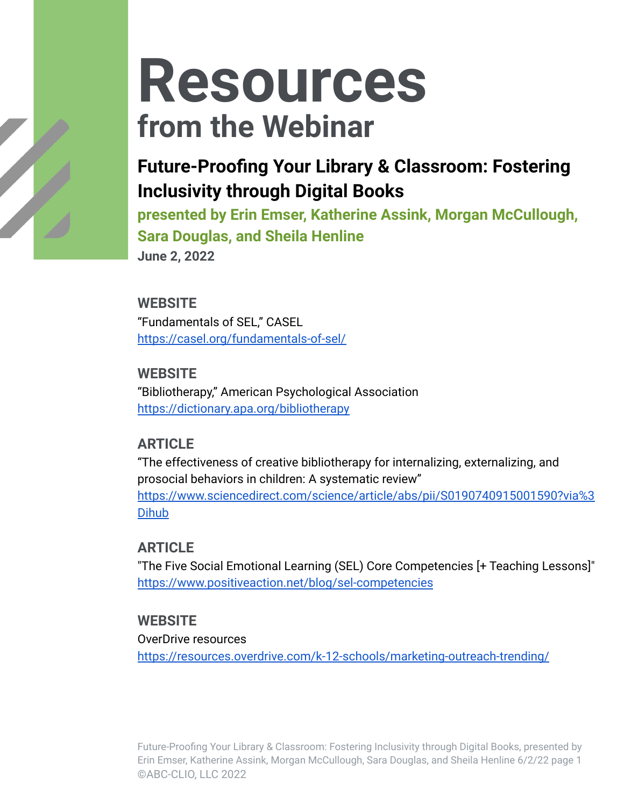## **Future-Proofing Your Library & Classroom: Fostering Inclusivity through Digital Books**

**presented by Erin Emser, Katherine Assink, Morgan McCullough, Sara Douglas, and Sheila Henline**

**June 2, 2022**

#### **WEBSITE**

"Fundamentals of SEL," CASEL <https://casel.org/fundamentals-of-sel/>

#### **WEBSITE**

"Bibliotherapy," American Psychological Association <https://dictionary.apa.org/bibliotherapy>

#### **ARTICLE**

"The effectiveness of creative bibliotherapy for internalizing, externalizing, and prosocial behaviors in children: A systematic review"

[https://www.sciencedirect.com/science/article/abs/pii/S0190740915001590?via%3](https://www.sciencedirect.com/science/article/abs/pii/S0190740915001590?via%3Dihub) [Dihub](https://www.sciencedirect.com/science/article/abs/pii/S0190740915001590?via%3Dihub)

#### **ARTICLE**

"The Five Social Emotional Learning (SEL) Core Competencies [+ Teaching Lessons]" <https://www.positiveaction.net/blog/sel-competencies>

#### **WEBSITE**

OverDrive resources

<https://resources.overdrive.com/k-12-schools/marketing-outreach-trending/>

Future-Proofing Your Library & Classroom: Fostering Inclusivity through Digital Books, presented by Erin Emser, Katherine Assink, Morgan McCullough, Sara Douglas, and Sheila Henline 6/2/22 page 1 ©ABC-CLIO, LLC 2022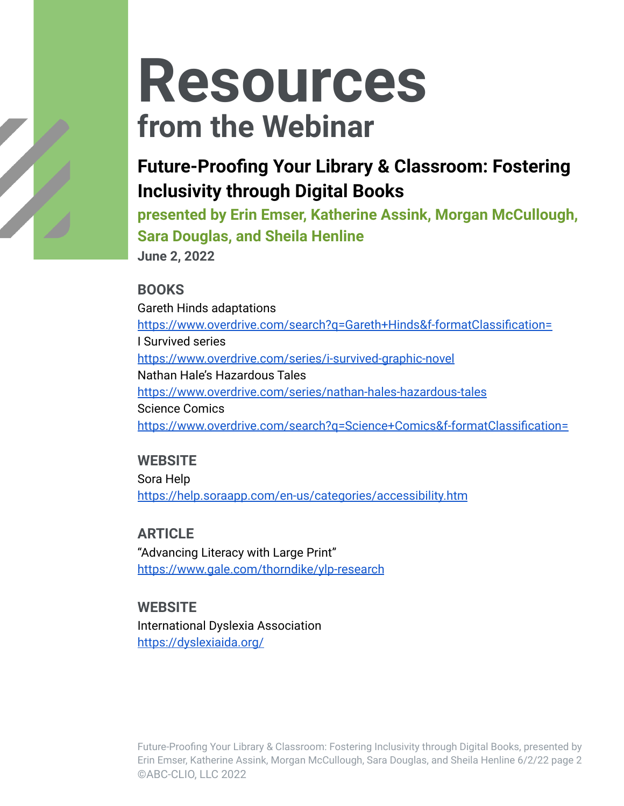## **Future-Proofing Your Library & Classroom: Fostering Inclusivity through Digital Books**

**presented by Erin Emser, Katherine Assink, Morgan McCullough, Sara Douglas, and Sheila Henline**

**June 2, 2022**

#### **BOOKS**

Gareth Hinds adaptations <https://www.overdrive.com/search?q=Gareth+Hinds&f-formatClassification=> I Survived series <https://www.overdrive.com/series/i-survived-graphic-novel> Nathan Hale's Hazardous Tales <https://www.overdrive.com/series/nathan-hales-hazardous-tales> Science Comics <https://www.overdrive.com/search?q=Science+Comics&f-formatClassification=>

#### **WEBSITE** Sora Help

<https://help.soraapp.com/en-us/categories/accessibility.htm>

### **ARTICLE**

"Advancing Literacy with Large Print" <https://www.gale.com/thorndike/ylp-research>

#### **WEBSITE**

International Dyslexia Association <https://dyslexiaida.org/>

Future-Proofing Your Library & Classroom: Fostering Inclusivity through Digital Books, presented by Erin Emser, Katherine Assink, Morgan McCullough, Sara Douglas, and Sheila Henline 6/2/22 page 2 ©ABC-CLIO, LLC 2022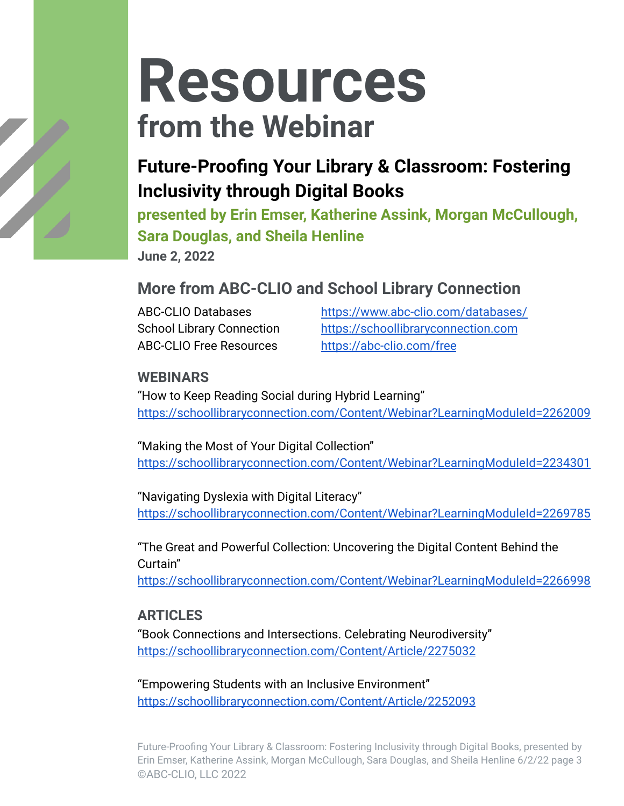## **Future-Proofing Your Library & Classroom: Fostering Inclusivity through Digital Books**

**presented by Erin Emser, Katherine Assink, Morgan McCullough, Sara Douglas, and Sheila Henline**

**June 2, 2022**

### **More from ABC-CLIO and School Library Connection**

ABC-CLIO Free Resources <https://abc-clio.com/free>

ABC-CLIO Databases <https://www.abc-clio.com/databases/> School Library Connection <https://schoollibraryconnection.com>

#### **WEBINARS**

"How to Keep Reading Social during Hybrid Learning" <https://schoollibraryconnection.com/Content/Webinar?LearningModuleId=2262009>

"Making the Most of Your Digital Collection" <https://schoollibraryconnection.com/Content/Webinar?LearningModuleId=2234301>

"Navigating Dyslexia with Digital Literacy" <https://schoollibraryconnection.com/Content/Webinar?LearningModuleId=2269785>

"The Great and Powerful Collection: Uncovering the Digital Content Behind the Curtain"

<https://schoollibraryconnection.com/Content/Webinar?LearningModuleId=2266998>

#### **ARTICLES**

"Book Connections and Intersections. Celebrating Neurodiversity" <https://schoollibraryconnection.com/Content/Article/2275032>

"Empowering Students with an Inclusive Environment" <https://schoollibraryconnection.com/Content/Article/2252093>

Future-Proofing Your Library & Classroom: Fostering Inclusivity through Digital Books, presented by Erin Emser, Katherine Assink, Morgan McCullough, Sara Douglas, and Sheila Henline 6/2/22 page 3 ©ABC-CLIO, LLC 2022